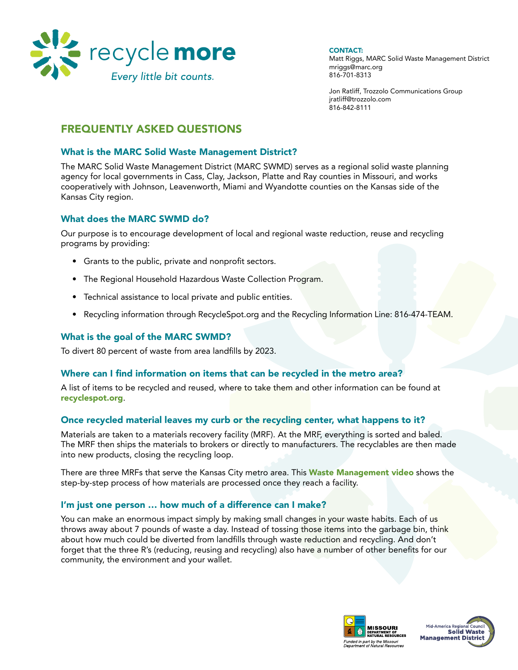

**CONTACT:** 

Matt Riggs, MARC Solid Waste Management District mriggs@marc.org 816-701-8313

Jon Ratliff, Trozzolo Communications Group jratliff@trozzolo.com 816-842-8111

# Frequently Asked Questions

### What is the MARC Solid Waste Management District?

The MARC Solid Waste Management District (MARC SWMD) serves as a regional solid waste planning agency for local governments in Cass, Clay, Jackson, Platte and Ray counties in Missouri, and works cooperatively with Johnson, Leavenworth, Miami and Wyandotte counties on the Kansas side of the Kansas City region.

### What does the MARC SWMD do?

Our purpose is to encourage development of local and regional waste reduction, reuse and recycling programs by providing:

- Grants to the public, private and nonprofit sectors.
- The Regional Household Hazardous Waste Collection Program.
- Technical assistance to local private and public entities.
- Recycling information through RecycleSpot.org and the Recycling Information Line: 816-474-TEAM.

## What is the goal of the MARC SWMD?

To divert 80 percent of waste from area landfills by 2023.

### Where can I find information on items that can be recycled in the metro area?

A list of items to be recycled and reused, where to take them and other information can be found at recyclespot.org.

#### Once recycled material leaves my curb or the recycling center, what happens to it?

Materials are taken to a materials recovery facility (MRF). At the MRF, everything is sorted and baled. The MRF then ships the materials to brokers or directly to manufacturers. The recyclables are then made into new products, closing the recycling loop.

There are three MRFs that serve the Kansas City metro area. This Waste Management video shows the step-by-step process of how materials are processed once they reach a facility.

### I'm just one person … how much of a difference can I make?

You can make an enormous impact simply by making small changes in your waste habits. Each of us throws away about 7 pounds of waste a day. Instead of tossing those items into the garbage bin, think about how much could be diverted from landfills through waste reduction and recycling. And don't forget that the three R's (reducing, reusing and recycling) also have a number of other benefits for our community, the environment and your wallet.



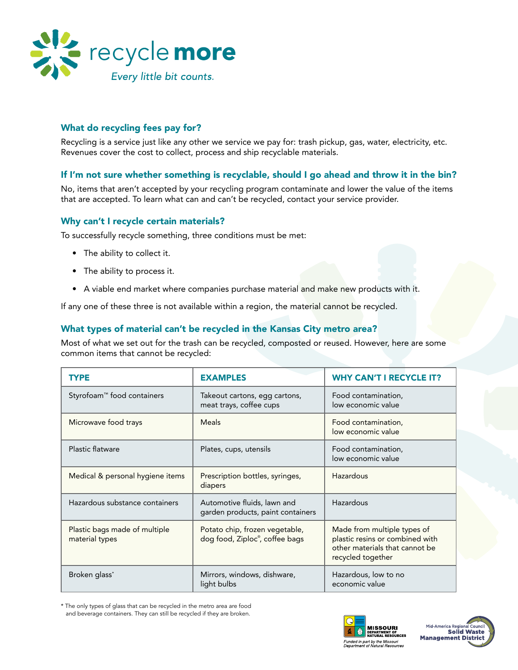

# What do recycling fees pay for?

Recycling is a service just like any other we service we pay for: trash pickup, gas, water, electricity, etc. Revenues cover the cost to collect, process and ship recyclable materials.

# If I'm not sure whether something is recyclable, should I go ahead and throw it in the bin?

No, items that aren't accepted by your recycling program contaminate and lower the value of the items that are accepted. To learn what can and can't be recycled, contact your service provider.

### Why can't I recycle certain materials?

To successfully recycle something, three conditions must be met:

- The ability to collect it.
- The ability to process it.
- • A viable end market where companies purchase material and make new products with it.

If any one of these three is not available within a region, the material cannot be recycled.

### What types of material can't be recycled in the Kansas City metro area?

Most of what we set out for the trash can be recycled, composted or reused. However, here are some common items that cannot be recycled:

| <b>TYPE</b>                                     | <b>EXAMPLES</b>                                                  | <b>WHY CAN'T I RECYCLE IT?</b>                                                                                        |
|-------------------------------------------------|------------------------------------------------------------------|-----------------------------------------------------------------------------------------------------------------------|
| Styrofoam <sup>™</sup> food containers          | Takeout cartons, egg cartons,<br>meat trays, coffee cups         | Food contamination,<br>low economic value                                                                             |
| Microwave food trays                            | <b>Meals</b>                                                     | Food contamination,<br>low economic value                                                                             |
| <b>Plastic flatware</b>                         | Plates, cups, utensils                                           | Food contamination,<br>low economic value                                                                             |
| Medical & personal hygiene items                | Prescription bottles, syringes,<br>diapers                       | Hazardous                                                                                                             |
| Hazardous substance containers                  | Automotive fluids, lawn and<br>garden products, paint containers | Hazardous                                                                                                             |
| Plastic bags made of multiple<br>material types | Potato chip, frozen vegetable,<br>dog food, Ziploc®, coffee bags | Made from multiple types of<br>plastic resins or combined with<br>other materials that cannot be<br>recycled together |
| Broken glass*                                   | Mirrors, windows, dishware,<br>light bulbs                       | Hazardous, low to no<br>economic value                                                                                |

\* The only types of glass that can be recycled in the metro area are food and beverage containers. They can still be recycled if they are broken.